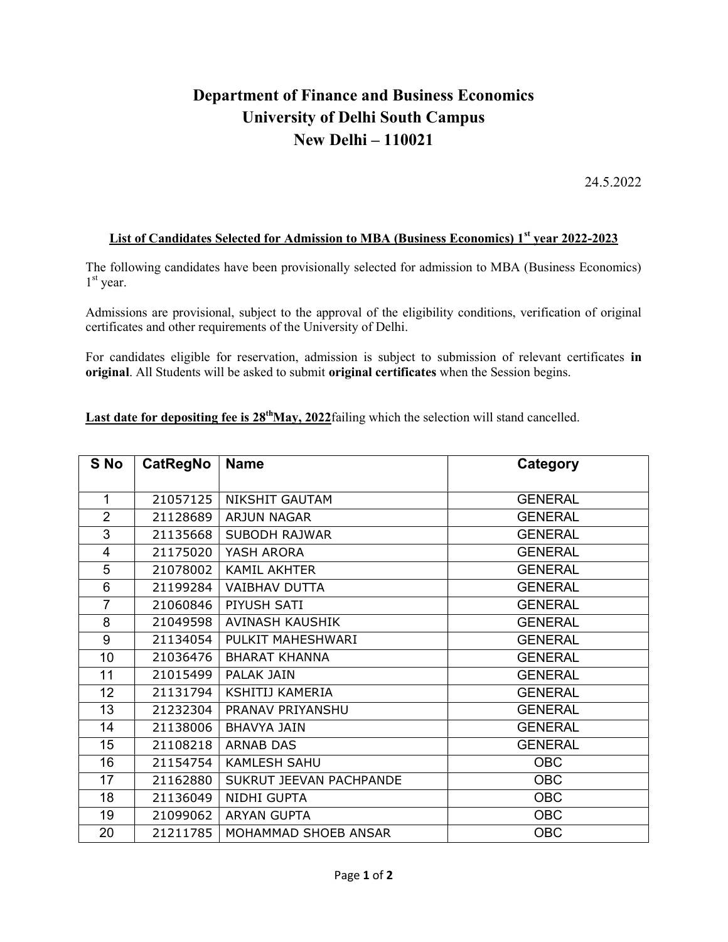## Department of Finance and Business Economics University of Delhi South Campus New Delhi – 110021

24.5.2022

## List of Candidates Selected for Admission to MBA (Business Economics) 1<sup>st</sup> year 2022-2023

The following candidates have been provisionally selected for admission to MBA (Business Economics) st year.

Admissions are provisional, subject to the approval of the eligibility conditions, verification of original certificates and other requirements of the University of Delhi.

For candidates eligible for reservation, admission is subject to submission of relevant certificates in original. All Students will be asked to submit original certificates when the Session begins.

Last date for depositing fee is  $28^{th}$ May,  $2022$  failing which the selection will stand cancelled.

| S No           | <b>CatRegNo</b> | <b>Name</b>             | Category       |
|----------------|-----------------|-------------------------|----------------|
| 1              | 21057125        | <b>NIKSHIT GAUTAM</b>   | <b>GENERAL</b> |
| $\overline{2}$ | 21128689        | <b>ARJUN NAGAR</b>      | <b>GENERAL</b> |
| 3              | 21135668        | <b>SUBODH RAJWAR</b>    | <b>GENERAL</b> |
| 4              | 21175020        | YASH ARORA              | <b>GENERAL</b> |
| 5              | 21078002        | <b>KAMIL AKHTER</b>     | <b>GENERAL</b> |
| 6              | 21199284        | <b>VAIBHAV DUTTA</b>    | <b>GENERAL</b> |
| $\overline{7}$ | 21060846        | PIYUSH SATI             | <b>GENERAL</b> |
| 8              | 21049598        | AVINASH KAUSHIK         | <b>GENERAL</b> |
| 9              | 21134054        | PULKIT MAHESHWARI       | <b>GENERAL</b> |
| 10             | 21036476        | <b>BHARAT KHANNA</b>    | <b>GENERAL</b> |
| 11             | 21015499        | <b>PALAK JAIN</b>       | <b>GENERAL</b> |
| 12             | 21131794        | <b>KSHITIJ KAMERIA</b>  | <b>GENERAL</b> |
| 13             | 21232304        | PRANAV PRIYANSHU        | <b>GENERAL</b> |
| 14             | 21138006        | <b>BHAVYA JAIN</b>      | <b>GENERAL</b> |
| 15             | 21108218        | <b>ARNAB DAS</b>        | <b>GENERAL</b> |
| 16             | 21154754        | <b>KAMLESH SAHU</b>     | <b>OBC</b>     |
| 17             | 21162880        | SUKRUT JEEVAN PACHPANDE | <b>OBC</b>     |
| 18             | 21136049        | NIDHI GUPTA             | <b>OBC</b>     |
| 19             | 21099062        | <b>ARYAN GUPTA</b>      | <b>OBC</b>     |
| 20             | 21211785        | MOHAMMAD SHOEB ANSAR    | <b>OBC</b>     |